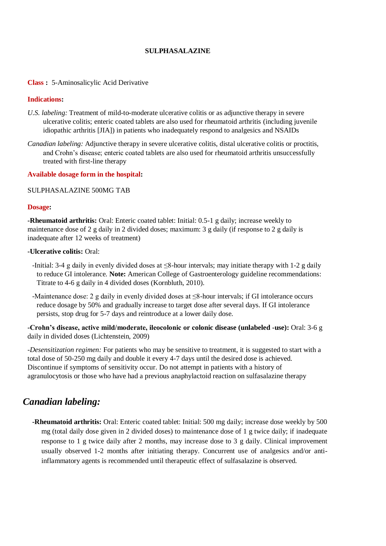## **SULPHASALAZINE**

### **Class :** 5-Aminosalicylic Acid Derivative

### **Indications:**

- *U.S. labeling:* Treatment of mild-to-moderate ulcerative colitis or as adjunctive therapy in severe ulcerative colitis; enteric coated tablets are also used for rheumatoid arthritis (including juvenile idiopathic arthritis [JIA]) in patients who inadequately respond to analgesics and NSAIDs
- *Canadian labeling:* Adjunctive therapy in severe ulcerative colitis, distal ulcerative colitis or proctitis, and Crohn's disease; enteric coated tablets are also used for rheumatoid arthritis unsuccessfully treated with first-line therapy

#### **Available dosage form in the hospital:**

#### SULPHASALAZINE 500MG TAB

#### **Dosage:**

**-Rheumatoid arthritis:** Oral: Enteric coated tablet: Initial: 0.5-1 g daily; increase weekly to maintenance dose of 2 g daily in 2 divided doses; maximum: 3 g daily (if response to 2 g daily is inadequate after 12 weeks of treatment)

#### **-Ulcerative colitis:** Oral:

- -Initial: 3-4 g daily in evenly divided doses at ≤8-hour intervals; may initiate therapy with 1-2 g daily to reduce GI intolerance. **Note:** American College of Gastroenterology guideline recommendations: Titrate to 4-6 g daily in 4 divided doses (Kornbluth, 2010).
- -Maintenance dose: 2 g daily in evenly divided doses at ≤8-hour intervals; if GI intolerance occurs reduce dosage by 50% and gradually increase to target dose after several days. If GI intolerance persists, stop drug for 5-7 days and reintroduce at a lower daily dose.

**-Crohn's disease, active mild/moderate, ileocolonic or colonic disease (unlabeled -use):** Oral: 3-6 g daily in divided doses (Lichtenstein, 2009)

*-Desensitization regimen:* For patients who may be sensitive to treatment, it is suggested to start with a total dose of 50-250 mg daily and double it every 4-7 days until the desired dose is achieved. Discontinue if symptoms of sensitivity occur. Do not attempt in patients with a history of agranulocytosis or those who have had a previous anaphylactoid reaction on sulfasalazine therapy

# *Canadian labeling:*

**-Rheumatoid arthritis:** Oral: Enteric coated tablet: Initial: 500 mg daily; increase dose weekly by 500 mg (total daily dose given in 2 divided doses) to maintenance dose of 1 g twice daily; if inadequate response to 1 g twice daily after 2 months, may increase dose to 3 g daily. Clinical improvement usually observed 1-2 months after initiating therapy. Concurrent use of analgesics and/or antiinflammatory agents is recommended until therapeutic effect of sulfasalazine is observed.